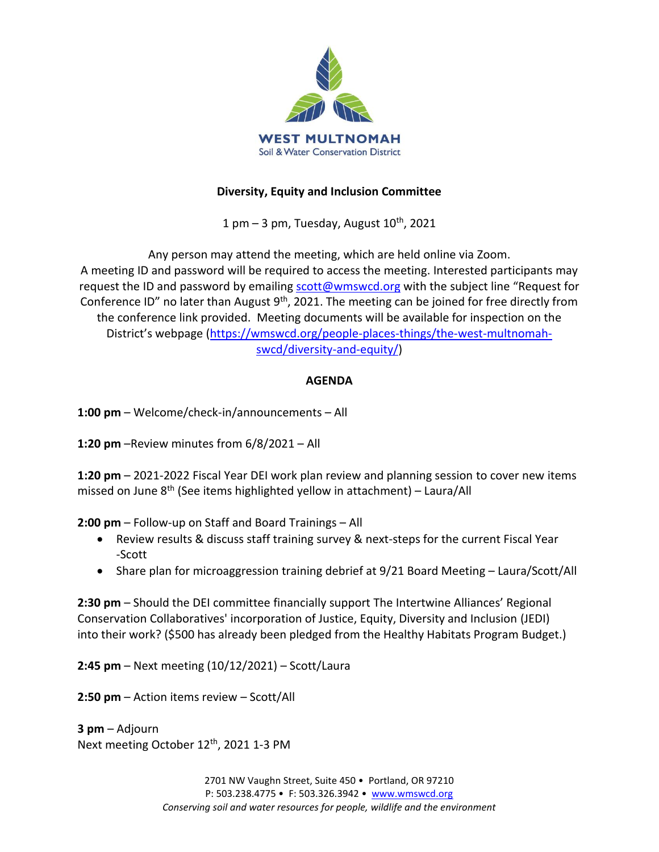

## **Diversity, Equity and Inclusion Committee**

1 pm  $-$  3 pm, Tuesday, August  $10<sup>th</sup>$ , 2021

Any person may attend the meeting, which are held online via Zoom. A meeting ID and password will be required to access the meeting. Interested participants may request the ID and password by emailing [scott@wmswcd.org](mailto:scott@wmswcd.org) with the subject line "Request for Conference ID" no later than August 9<sup>th</sup>, 2021. The meeting can be joined for free directly from the conference link provided. Meeting documents will be available for inspection on the District's webpage ([https://wmswcd.org/people-places-things/the-west-multnomah](https://wmswcd.org/people-places-things/the-west-multnomah-swcd/diversity-and-equity/)[swcd/diversity-and-equity/\)](https://wmswcd.org/people-places-things/the-west-multnomah-swcd/diversity-and-equity/)

# **AGENDA**

**1:00 pm** – Welcome/check-in/announcements – All

**1:20 pm** –Review minutes from 6/8/2021 – All

**1:20 pm** – 2021-2022 Fiscal Year DEI work plan review and planning session to cover new items missed on June  $8<sup>th</sup>$  (See items highlighted yellow in attachment) – Laura/All

**2:00 pm** – Follow-up on Staff and Board Trainings – All

- Review results & discuss staff training survey & next-steps for the current Fiscal Year -Scott
- Share plan for microaggression training debrief at 9/21 Board Meeting Laura/Scott/All

**2:30 pm** – Should the DEI committee financially support The Intertwine Alliances' Regional Conservation Collaboratives' incorporation of Justice, Equity, Diversity and Inclusion (JEDI) into their work? (\$500 has already been pledged from the Healthy Habitats Program Budget.)

**2:45 pm** – Next meeting (10/12/2021) – Scott/Laura

**2:50 pm** – Action items review – Scott/All

**3 pm** – Adjourn Next meeting October 12<sup>th</sup>, 2021 1-3 PM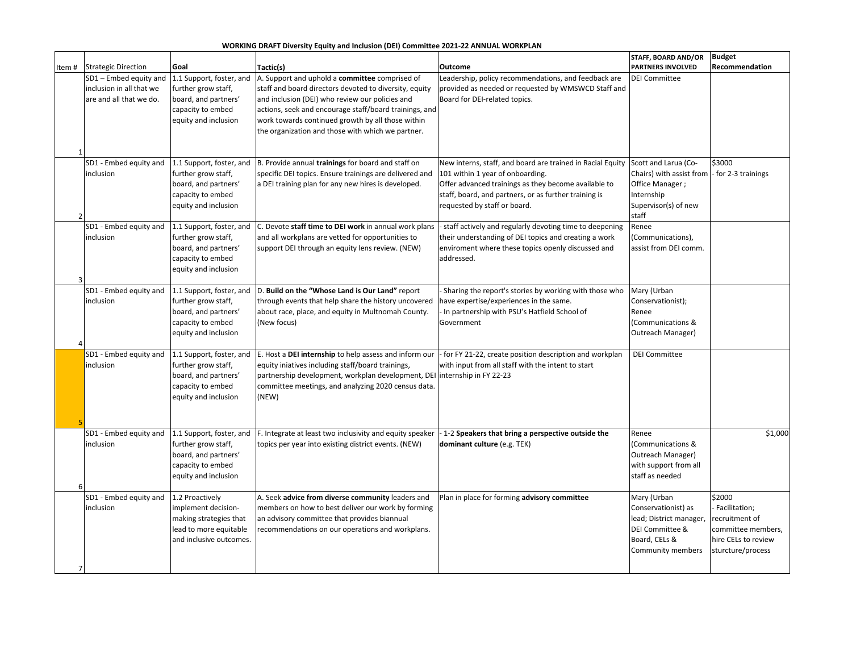### **WORKING DRAFT Diversity Equity and Inclusion (DEI) Committee 2021-22 ANNUAL WORKPLAN**

| Item#          | <b>Strategic Direction</b>                                                    | Goal                                                                                                                                                                                                                                                                                                                                                                                                                                                                                     | Tactic(s)                                                                                                                                                                                                                         | Outcome                                                                                                                                                                                                                                         | STAFF, BOARD AND/OR<br><b>PARTNERS INVOLVED</b>                                                                        | <b>Budget</b><br><b>Recommendation</b>                                                                      |  |
|----------------|-------------------------------------------------------------------------------|------------------------------------------------------------------------------------------------------------------------------------------------------------------------------------------------------------------------------------------------------------------------------------------------------------------------------------------------------------------------------------------------------------------------------------------------------------------------------------------|-----------------------------------------------------------------------------------------------------------------------------------------------------------------------------------------------------------------------------------|-------------------------------------------------------------------------------------------------------------------------------------------------------------------------------------------------------------------------------------------------|------------------------------------------------------------------------------------------------------------------------|-------------------------------------------------------------------------------------------------------------|--|
|                | SD1 - Embed equity and<br>inclusion in all that we<br>are and all that we do. | 1.1 Support, foster, and<br>A. Support and uphold a committee comprised of<br>further grow staff,<br>staff and board directors devoted to diversity, equity<br>board, and partners'<br>and inclusion (DEI) who review our policies and<br>Board for DEI-related topics.<br>actions, seek and encourage staff/board trainings, and<br>capacity to embed<br>equity and inclusion<br>work towards continued growth by all those within<br>the organization and those with which we partner. |                                                                                                                                                                                                                                   | Leadership, policy recommendations, and feedback are<br>provided as needed or requested by WMSWCD Staff and                                                                                                                                     | <b>DEI Committee</b>                                                                                                   |                                                                                                             |  |
| $\mathcal{P}$  | SD1 - Embed equity and<br>inclusion                                           | 1.1 Support, foster, and<br>further grow staff,<br>board, and partners'<br>capacity to embed<br>equity and inclusion                                                                                                                                                                                                                                                                                                                                                                     | B. Provide annual trainings for board and staff on<br>specific DEI topics. Ensure trainings are delivered and<br>a DEI training plan for any new hires is developed.                                                              | New interns, staff, and board are trained in Racial Equity<br>101 within 1 year of onboarding.<br>Offer advanced trainings as they become available to<br>staff, board, and partners, or as further training is<br>requested by staff or board. | Scott and Larua (Co-<br>Chairs) with assist from<br>Office Manager;<br>Internship<br>Supervisor(s) of new<br>staff     | \$3000<br>- for 2-3 trainings                                                                               |  |
|                | SD1 - Embed equity and<br>inclusion                                           | 1.1 Support, foster, and<br>further grow staff,<br>board, and partners'<br>capacity to embed<br>equity and inclusion                                                                                                                                                                                                                                                                                                                                                                     | C. Devote staff time to DEI work in annual work plans<br>and all workplans are vetted for opportunities to<br>support DEI through an equity lens review. (NEW)                                                                    | - staff actively and regularly devoting time to deepening<br>their understanding of DEI topics and creating a work<br>enviroment where these topics openly discussed and<br>addressed.                                                          | Renee<br>(Communications),<br>assist from DEI comm.                                                                    |                                                                                                             |  |
|                | SD1 - Embed equity and<br>inclusion                                           | 1.1 Support, foster, and<br>further grow staff,<br>board, and partners'<br>capacity to embed<br>equity and inclusion                                                                                                                                                                                                                                                                                                                                                                     | D. Build on the "Whose Land is Our Land" report<br>through events that help share the history uncovered<br>about race, place, and equity in Multnomah County.<br>(New focus)                                                      | Sharing the report's stories by working with those who<br>have expertise/experiences in the same.<br>In partnership with PSU's Hatfield School of<br>Government                                                                                 | Mary (Urban<br>Conservationist);<br>Renee<br>(Communications &<br>Outreach Manager)                                    |                                                                                                             |  |
|                | SD1 - Embed equity and<br>inclusion                                           | 1.1 Support, foster, and<br>further grow staff,<br>board, and partners'<br>capacity to embed<br>equity and inclusion                                                                                                                                                                                                                                                                                                                                                                     | E. Host a DEI internship to help assess and inform our<br>equity iniatives including staff/board trainings,<br>partnership development, workplan development, DEI<br>committee meetings, and analyzing 2020 census data.<br>(NEW) | - for FY 21-22, create position description and workplan<br>with input from all staff with the intent to start<br>internship in FY 22-23                                                                                                        | <b>DEI Committee</b>                                                                                                   |                                                                                                             |  |
| 6              | SD1 - Embed equity and<br>inclusion                                           | 1.1 Support, foster, and<br>further grow staff,<br>board, and partners'<br>capacity to embed<br>equity and inclusion                                                                                                                                                                                                                                                                                                                                                                     | F. Integrate at least two inclusivity and equity speaker<br>topics per year into existing district events. (NEW)                                                                                                                  | -1-2 Speakers that bring a perspective outside the<br>dominant culture (e.g. TEK)                                                                                                                                                               | Renee<br>(Communications &<br>Outreach Manager)<br>with support from all<br>staff as needed                            | \$1,000                                                                                                     |  |
| $\overline{7}$ | SD1 - Embed equity and<br>inclusion                                           | 1.2 Proactively<br>implement decision-<br>making strategies that<br>lead to more equitable<br>and inclusive outcomes.                                                                                                                                                                                                                                                                                                                                                                    | A. Seek advice from diverse community leaders and<br>members on how to best deliver our work by forming<br>an advisory committee that provides biannual<br>recommendations on our operations and workplans.                       | Plan in place for forming advisory committee                                                                                                                                                                                                    | Mary (Urban<br>Conservationist) as<br>lead; District manager,<br>DEI Committee &<br>Board, CELs &<br>Community members | \$2000<br>Facilitation;<br>recruitment of<br>committee members,<br>hire CELs to review<br>sturcture/process |  |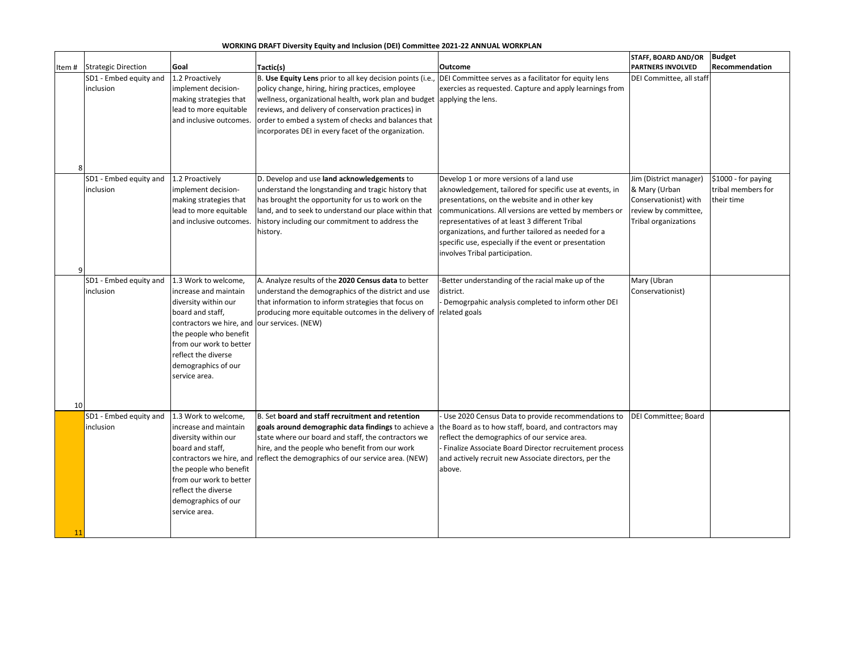### **WORKING DRAFT Diversity Equity and Inclusion (DEI) Committee 2021-22 ANNUAL WORKPLAN**

|        |                            |                          |                                                                                                           |                                                         | <b>STAFF, BOARD AND/OR</b> | <b>Budget</b>       |
|--------|----------------------------|--------------------------|-----------------------------------------------------------------------------------------------------------|---------------------------------------------------------|----------------------------|---------------------|
| Item # | <b>Strategic Direction</b> | Goal                     | Tactic(s)                                                                                                 | Outcome                                                 | <b>PARTNERS INVOLVED</b>   | Recommendation      |
|        | SD1 - Embed equity and     | 1.2 Proactively          | B. Use Equity Lens prior to all key decision points (i.e.,                                                | DEI Committee serves as a facilitator for equity lens   | DEI Committee, all staff   |                     |
|        | inclusion                  | implement decision-      | policy change, hiring, hiring practices, employee                                                         | exercies as requested. Capture and apply learnings from |                            |                     |
|        |                            | making strategies that   | wellness, organizational health, work plan and budget applying the lens.                                  |                                                         |                            |                     |
|        |                            | lead to more equitable   | reviews, and delivery of conservation practices) in                                                       |                                                         |                            |                     |
|        |                            | and inclusive outcomes.  | order to embed a system of checks and balances that                                                       |                                                         |                            |                     |
|        |                            |                          | incorporates DEI in every facet of the organization.                                                      |                                                         |                            |                     |
|        |                            |                          |                                                                                                           |                                                         |                            |                     |
|        |                            |                          |                                                                                                           |                                                         |                            |                     |
| 8      |                            |                          |                                                                                                           |                                                         |                            |                     |
|        | SD1 - Embed equity and     | 1.2 Proactively          | D. Develop and use land acknowledgements to                                                               | Develop 1 or more versions of a land use                | Jim (District manager)     | \$1000 - for paying |
|        | inclusion                  | implement decision-      | understand the longstanding and tragic history that                                                       | aknowledgement, tailored for specific use at events, in | & Mary (Urban              | tribal members for  |
|        |                            | making strategies that   | has brought the opportunity for us to work on the                                                         | presentations, on the website and in other key          | Conservationist) with      | their time          |
|        |                            | lead to more equitable   | land, and to seek to understand our place within that                                                     | communications. All versions are vetted by members or   | review by committee,       |                     |
|        |                            | and inclusive outcomes.  | history including our commitment to address the                                                           | representatives of at least 3 different Tribal          | Tribal organizations       |                     |
|        |                            |                          | history.                                                                                                  | organizations, and further tailored as needed for a     |                            |                     |
|        |                            |                          |                                                                                                           | specific use, especially if the event or presentation   |                            |                     |
|        |                            |                          |                                                                                                           | involves Tribal participation.                          |                            |                     |
| q      |                            |                          |                                                                                                           |                                                         |                            |                     |
|        | SD1 - Embed equity and     | 1.3 Work to welcome,     | A. Analyze results of the 2020 Census data to better                                                      | Better understanding of the racial make up of the       | Mary (Ubran                |                     |
|        | inclusion                  | increase and maintain    | understand the demographics of the district and use                                                       | district.                                               | Conservationist)           |                     |
|        |                            | diversity within our     | that information to inform strategies that focus on                                                       | Demogrpahic analysis completed to inform other DEI      |                            |                     |
|        |                            | board and staff,         | producing more equitable outcomes in the delivery of related goals                                        |                                                         |                            |                     |
|        |                            | contractors we hire, and | our services. (NEW)                                                                                       |                                                         |                            |                     |
|        |                            | the people who benefit   |                                                                                                           |                                                         |                            |                     |
|        |                            | from our work to better  |                                                                                                           |                                                         |                            |                     |
|        |                            | reflect the diverse      |                                                                                                           |                                                         |                            |                     |
|        |                            | demographics of our      |                                                                                                           |                                                         |                            |                     |
|        |                            | service area.            |                                                                                                           |                                                         |                            |                     |
|        |                            |                          |                                                                                                           |                                                         |                            |                     |
| 10     |                            |                          |                                                                                                           |                                                         |                            |                     |
|        | SD1 - Embed equity and     | 1.3 Work to welcome,     | B. Set board and staff recruitment and retention                                                          | Use 2020 Census Data to provide recommendations to      | DEI Committee; Board       |                     |
|        | inclusion                  | increase and maintain    | goals around demographic data findings to achieve a the Board as to how staff, board, and contractors may |                                                         |                            |                     |
|        |                            | diversity within our     | state where our board and staff, the contractors we                                                       | reflect the demographics of our service area.           |                            |                     |
|        |                            | board and staff,         | hire, and the people who benefit from our work                                                            | Finalize Associate Board Director recruitement process  |                            |                     |
|        |                            | contractors we hire, and | reflect the demographics of our service area. (NEW)                                                       | and actively recruit new Associate directors, per the   |                            |                     |
|        |                            | the people who benefit   |                                                                                                           | above.                                                  |                            |                     |
|        |                            | from our work to better  |                                                                                                           |                                                         |                            |                     |
|        |                            | reflect the diverse      |                                                                                                           |                                                         |                            |                     |
|        |                            | demographics of our      |                                                                                                           |                                                         |                            |                     |
|        |                            | service area.            |                                                                                                           |                                                         |                            |                     |
|        |                            |                          |                                                                                                           |                                                         |                            |                     |
| 11     |                            |                          |                                                                                                           |                                                         |                            |                     |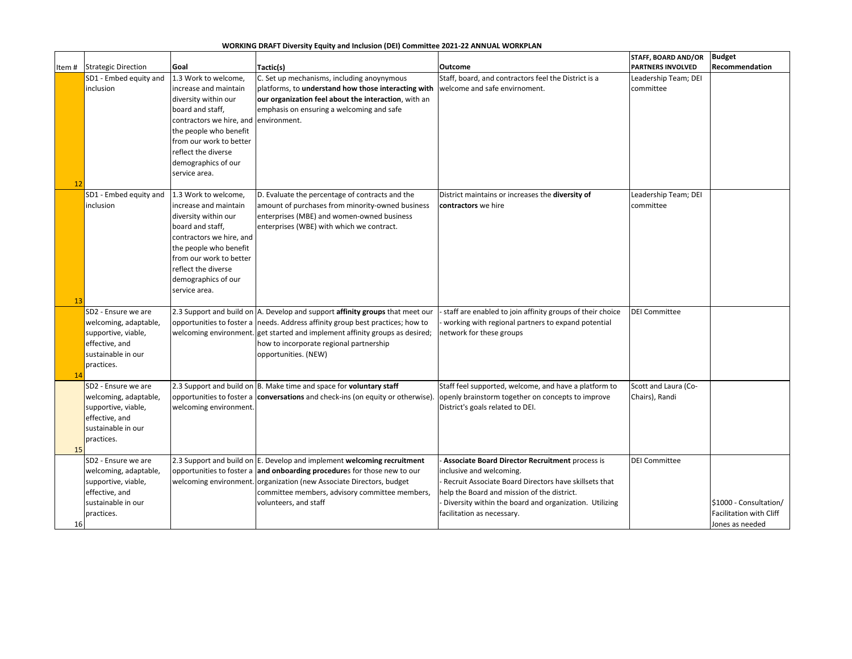### **WORKING DRAFT Diversity Equity and Inclusion (DEI) Committee 2021-22 ANNUAL WORKPLAN**

|    |                                       |                                               |                                                                                         |                                                           | <b>STAFF, BOARD AND/OR</b> | <b>Budget</b>           |
|----|---------------------------------------|-----------------------------------------------|-----------------------------------------------------------------------------------------|-----------------------------------------------------------|----------------------------|-------------------------|
|    | Item # Strategic Direction            | Goal                                          | Tactic(s)                                                                               | Outcome                                                   | <b>PARTNERS INVOLVED</b>   | Recommendation          |
|    | SD1 - Embed equity and                | 1.3 Work to welcome,                          | C. Set up mechanisms, including anoynymous                                              | Staff, board, and contractors feel the District is a      | Leadership Team; DEI       |                         |
|    | inclusion                             | increase and maintain                         | platforms, to understand how those interacting with                                     | welcome and safe envirnoment.                             | committee                  |                         |
|    |                                       | diversity within our                          | our organization feel about the interaction, with an                                    |                                                           |                            |                         |
|    |                                       | board and staff,                              | emphasis on ensuring a welcoming and safe                                               |                                                           |                            |                         |
|    |                                       | contractors we hire, and                      | environment.                                                                            |                                                           |                            |                         |
|    |                                       | the people who benefit                        |                                                                                         |                                                           |                            |                         |
|    |                                       | from our work to better                       |                                                                                         |                                                           |                            |                         |
|    |                                       | reflect the diverse                           |                                                                                         |                                                           |                            |                         |
|    |                                       | demographics of our                           |                                                                                         |                                                           |                            |                         |
|    |                                       | service area.                                 |                                                                                         |                                                           |                            |                         |
| 12 |                                       |                                               |                                                                                         |                                                           |                            |                         |
|    | SD1 - Embed equity and                | 1.3 Work to welcome,                          | D. Evaluate the percentage of contracts and the                                         | District maintains or increases the diversity of          | Leadership Team; DEI       |                         |
|    | inclusion                             | increase and maintain<br>diversity within our | amount of purchases from minority-owned business                                        | contractors we hire                                       | committee                  |                         |
|    |                                       | board and staff,                              | enterprises (MBE) and women-owned business<br>enterprises (WBE) with which we contract. |                                                           |                            |                         |
|    |                                       | contractors we hire, and                      |                                                                                         |                                                           |                            |                         |
|    |                                       | the people who benefit                        |                                                                                         |                                                           |                            |                         |
|    |                                       | from our work to better                       |                                                                                         |                                                           |                            |                         |
|    |                                       | reflect the diverse                           |                                                                                         |                                                           |                            |                         |
|    |                                       | demographics of our                           |                                                                                         |                                                           |                            |                         |
|    |                                       | service area.                                 |                                                                                         |                                                           |                            |                         |
| 13 |                                       |                                               |                                                                                         |                                                           |                            |                         |
|    | SD2 - Ensure we are                   |                                               | 2.3 Support and build on A. Develop and support affinity groups that meet our           | staff are enabled to join affinity groups of their choice | <b>DEI Committee</b>       |                         |
|    | welcoming, adaptable,                 |                                               | opportunities to foster a needs. Address affinity group best practices; how to          | working with regional partners to expand potential        |                            |                         |
|    | supportive, viable,                   | welcoming environment.                        | get started and implement affinity groups as desired;                                   | network for these groups                                  |                            |                         |
|    | effective, and                        |                                               | how to incorporate regional partnership                                                 |                                                           |                            |                         |
|    | sustainable in our                    |                                               | opportunities. (NEW)                                                                    |                                                           |                            |                         |
|    | practices.                            |                                               |                                                                                         |                                                           |                            |                         |
| 14 |                                       |                                               |                                                                                         |                                                           |                            |                         |
|    | SD2 - Ensure we are                   |                                               | 2.3 Support and build on B. Make time and space for voluntary staff                     | Staff feel supported, welcome, and have a platform to     | Scott and Laura (Co-       |                         |
|    | welcoming, adaptable,                 | opportunities to foster a                     | conversations and check-ins (on equity or otherwise).                                   | openly brainstorm together on concepts to improve         | Chairs), Randi             |                         |
|    | supportive, viable,<br>effective, and | welcoming environment.                        |                                                                                         | District's goals related to DEI.                          |                            |                         |
|    | sustainable in our                    |                                               |                                                                                         |                                                           |                            |                         |
|    | practices.                            |                                               |                                                                                         |                                                           |                            |                         |
| 15 |                                       |                                               |                                                                                         |                                                           |                            |                         |
|    | SD2 - Ensure we are                   |                                               | 2.3 Support and build on E. Develop and implement welcoming recruitment                 | Associate Board Director Recruitment process is           | <b>DEI Committee</b>       |                         |
|    | welcoming, adaptable,                 |                                               | opportunities to foster a and onboarding procedures for those new to our                | inclusive and welcoming.                                  |                            |                         |
|    | supportive, viable,                   | welcoming environment.                        | organization (new Associate Directors, budget                                           | Recruit Associate Board Directors have skillsets that     |                            |                         |
|    | effective, and                        |                                               | committee members, advisory committee members,                                          | help the Board and mission of the district.               |                            |                         |
|    | sustainable in our                    |                                               | volunteers, and staff                                                                   | Diversity within the board and organization. Utilizing    |                            | \$1000 - Consultation/  |
|    | practices.                            |                                               |                                                                                         | facilitation as necessary.                                |                            | Facilitation with Cliff |
| 16 |                                       |                                               |                                                                                         |                                                           |                            | Jones as needed         |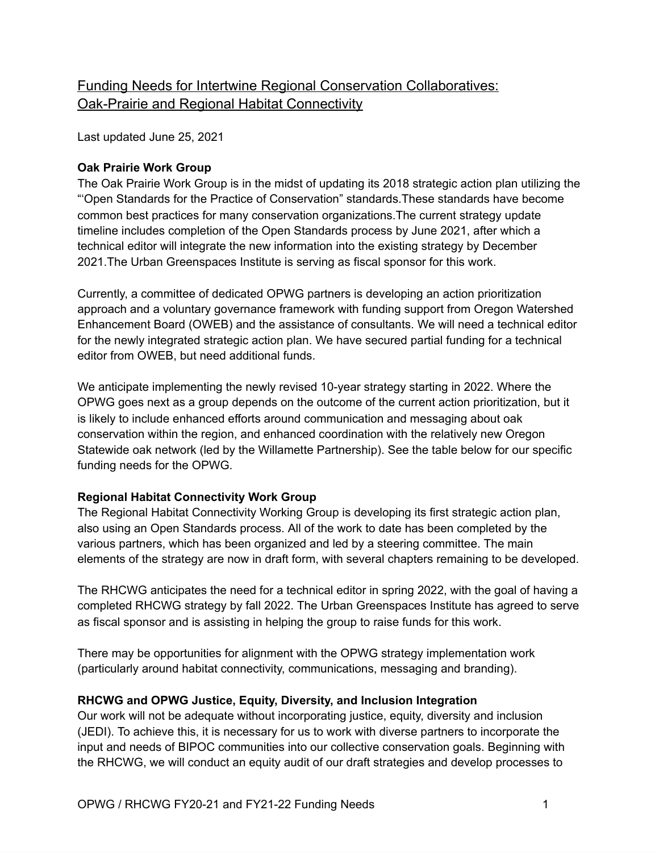# Funding Needs for Intertwine Regional Conservation Collaboratives: Oak-Prairie and Regional Habitat Connectivity

Last updated June 25, 2021

## **Oak Prairie Work Group**

The Oak Prairie Work Group is in the midst of updating its 2018 strategic action plan utilizing the "'Open Standards for the Practice of Conservation" standards.These standards have become common best practices for many conservation organizations.The current strategy update timeline includes completion of the Open Standards process by June 2021, after which a technical editor will integrate the new information into the existing strategy by December 2021.The Urban Greenspaces Institute is serving as fiscal sponsor for this work.

Currently, a committee of dedicated OPWG partners is developing an action prioritization approach and a voluntary governance framework with funding support from Oregon Watershed Enhancement Board (OWEB) and the assistance of consultants. We will need a technical editor for the newly integrated strategic action plan. We have secured partial funding for a technical editor from OWEB, but need additional funds.

We anticipate implementing the newly revised 10-year strategy starting in 2022. Where the OPWG goes next as a group depends on the outcome of the current action prioritization, but it is likely to include enhanced efforts around communication and messaging about oak conservation within the region, and enhanced coordination with the relatively new Oregon Statewide oak network (led by the Willamette Partnership). See the table below for our specific funding needs for the OPWG.

## **Regional Habitat Connectivity Work Group**

The Regional Habitat Connectivity Working Group is developing its first strategic action plan, also using an Open Standards process. All of the work to date has been completed by the various partners, which has been organized and led by a steering committee. The main elements of the strategy are now in draft form, with several chapters remaining to be developed.

The RHCWG anticipates the need for a technical editor in spring 2022, with the goal of having a completed RHCWG strategy by fall 2022. The Urban Greenspaces Institute has agreed to serve as fiscal sponsor and is assisting in helping the group to raise funds for this work.

There may be opportunities for alignment with the OPWG strategy implementation work (particularly around habitat connectivity, communications, messaging and branding).

## **RHCWG and OPWG Justice, Equity, Diversity, and Inclusion Integration**

Our work will not be adequate without incorporating justice, equity, diversity and inclusion (JEDI). To achieve this, it is necessary for us to work with diverse partners to incorporate the input and needs of BIPOC communities into our collective conservation goals. Beginning with the RHCWG, we will conduct an equity audit of our draft strategies and develop processes to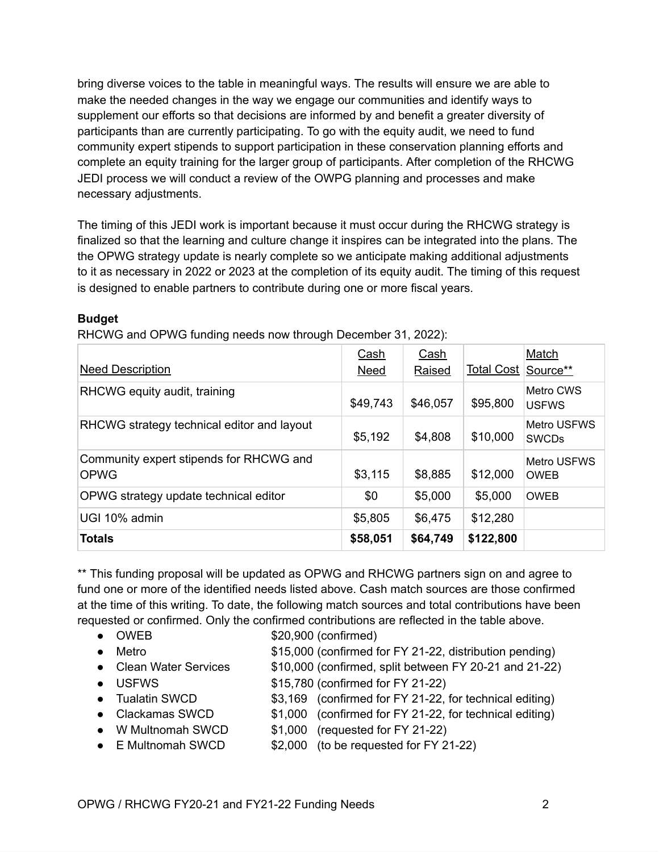bring diverse voices to the table in meaningful ways. The results will ensure we are able to make the needed changes in the way we engage our communities and identify ways to supplement our efforts so that decisions are informed by and benefit a greater diversity of participants than are currently participating. To go with the equity audit, we need to fund community expert stipends to support participation in these conservation planning efforts and complete an equity training for the larger group of participants. After completion of the RHCWG JEDI process we will conduct a review of the OWPG planning and processes and make necessary adjustments.

The timing of this JEDI work is important because it must occur during the RHCWG strategy is finalized so that the learning and culture change it inspires can be integrated into the plans. The the OPWG strategy update is nearly complete so we anticipate making additional adjustments to it as necessary in 2022 or 2023 at the completion of its equity audit. The timing of this request is designed to enable partners to contribute during one or more fiscal years.

## **Budget**

RHCWG and OPWG funding needs now through December 31, 2022):

|                                                        | Cash        | Cash     |            | Match                              |
|--------------------------------------------------------|-------------|----------|------------|------------------------------------|
| <b>Need Description</b>                                | <b>Need</b> | Raised   | Total Cost | Source**                           |
| RHCWG equity audit, training                           | \$49,743    | \$46,057 | \$95,800   | Metro CWS<br><b>USFWS</b>          |
| RHCWG strategy technical editor and layout             | \$5,192     | \$4,808  | \$10,000   | <b>Metro USFWS</b><br><b>SWCDs</b> |
| Community expert stipends for RHCWG and<br><b>OPWG</b> | \$3,115     | \$8,885  | \$12,000   | Metro USFWS<br><b>OWEB</b>         |
| OPWG strategy update technical editor                  | \$0         | \$5,000  | \$5,000    | <b>OWEB</b>                        |
| UGI 10% admin                                          | \$5,805     | \$6,475  | \$12,280   |                                    |
| <b>Totals</b>                                          | \$58,051    | \$64,749 | \$122,800  |                                    |

\*\* This funding proposal will be updated as OPWG and RHCWG partners sign on and agree to fund one or more of the identified needs listed above. Cash match sources are those confirmed at the time of this writing. To date, the following match sources and total contributions have been requested or confirmed. Only the confirmed contributions are reflected in the table above.

- OWEB \$20,900 (confirmed)
- Metro \$15,000 (confirmed for FY 21-22, distribution pending) • Clean Water Services \$10,000 (confirmed, split between FY 20-21 and 21-22) ● USFWS \$15,780 (confirmed for FY 21-22)
- Tualatin SWCD \$3,169 (confirmed for FY 21-22, for technical editing)
- Clackamas SWCD \$1,000 (confirmed for FY 21-22, for technical editing)
- W Multnomah SWCD \$1,000 (requested for FY 21-22)
- E Multnomah SWCD \$2,000 (to be requested for FY 21-22)